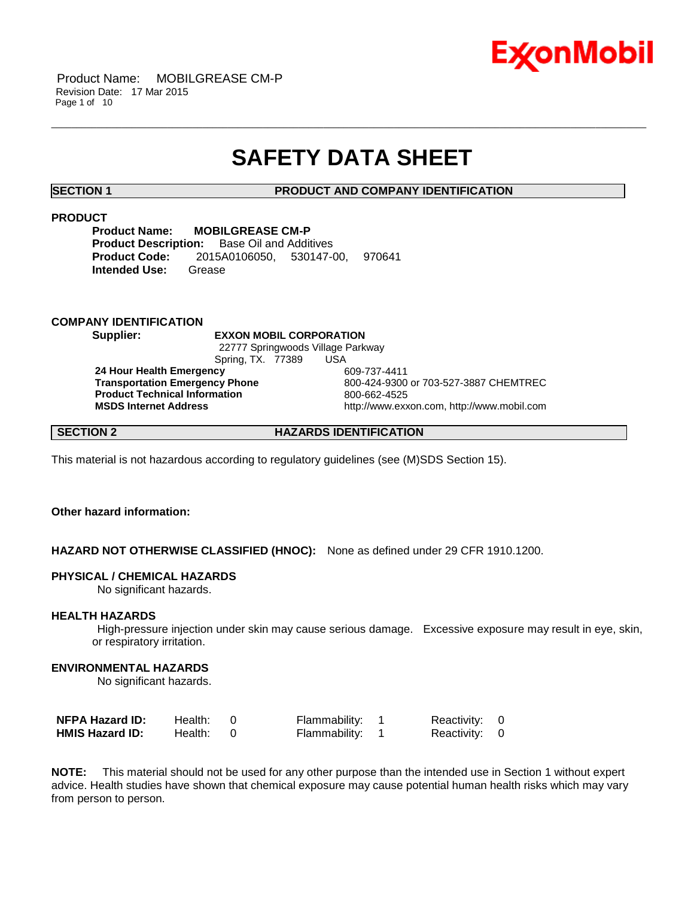

## **SAFETY DATA SHEET**

\_\_\_\_\_\_\_\_\_\_\_\_\_\_\_\_\_\_\_\_\_\_\_\_\_\_\_\_\_\_\_\_\_\_\_\_\_\_\_\_\_\_\_\_\_\_\_\_\_\_\_\_\_\_\_\_\_\_\_\_\_\_\_\_\_\_\_\_\_\_\_\_\_\_\_\_\_\_\_\_\_\_\_\_\_\_\_\_\_\_\_\_\_\_\_\_\_\_\_\_\_\_\_\_\_\_\_\_\_\_\_\_\_\_\_\_\_\_

#### **SECTION 1 PRODUCT AND COMPANY IDENTIFICATION**

#### **PRODUCT**

**Product Name: MOBILGREASE CM-P Product Description:** Base Oil and Additives **Product Code:** 2015A0106050, 530147-00, 970641 **Intended Use:** Grease

#### **COMPANY IDENTIFICATION**

**Supplier: EXXON MOBIL CORPORATION** 22777 Springwoods Village Parkway Spring, TX. 77389 USA

**24 Hour Health Emergency** 609-737-4411 **Product Technical Information**<br> **MSDS Internet Address**<br>
MSDS Internet Address

**Transportation Emergency Phone** 800-424-9300 or 703-527-3887 CHEMTREC **MSDS Internet Address** http://www.exxon.com, http://www.mobil.com

### **SECTION 2 HAZARDS IDENTIFICATION**

This material is not hazardous according to regulatory guidelines (see (M)SDS Section 15).

### **Other hazard information:**

#### **HAZARD NOT OTHERWISE CLASSIFIED (HNOC):** None as defined under 29 CFR 1910.1200.

#### **PHYSICAL / CHEMICAL HAZARDS**

No significant hazards.

#### **HEALTH HAZARDS**

High-pressure injection under skin may cause serious damage. Excessive exposure may result in eye, skin, or respiratory irritation.

#### **ENVIRONMENTAL HAZARDS**

No significant hazards.

| <b>NFPA Hazard ID:</b> | Health: | Flammability: 1 | Reactivity: 0 |  |
|------------------------|---------|-----------------|---------------|--|
| <b>HMIS Hazard ID:</b> | Health: | Flammability: 1 | Reactivity: 0 |  |

**NOTE:** This material should not be used for any other purpose than the intended use in Section 1 without expert advice. Health studies have shown that chemical exposure may cause potential human health risks which may vary from person to person.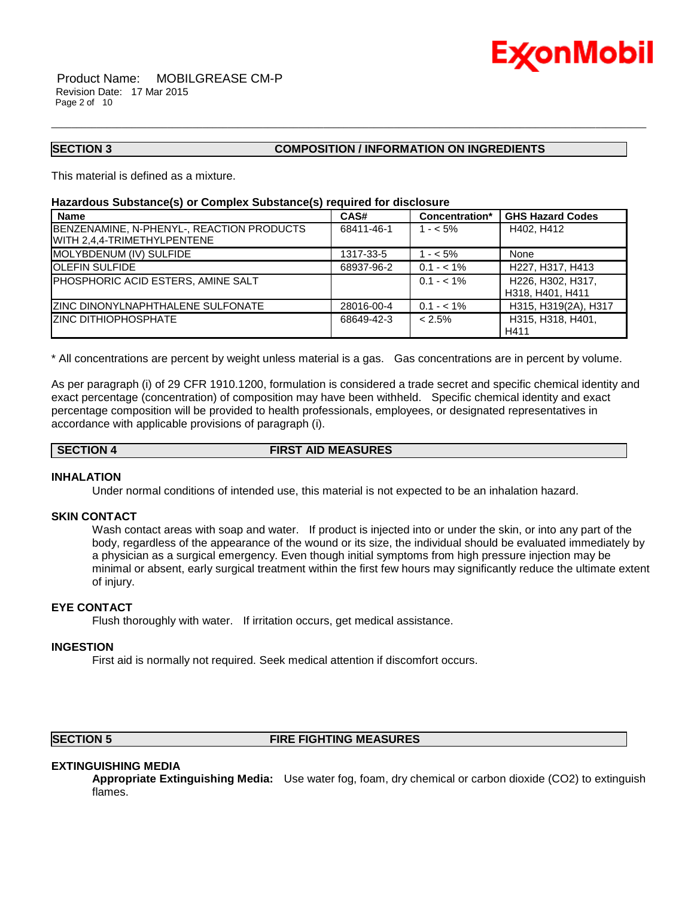

#### **SECTION 3 COMPOSITION / INFORMATION ON INGREDIENTS**

This material is defined as a mixture.

#### **Hazardous Substance(s) or Complex Substance(s) required for disclosure**

| <b>Name</b>                                                              | CAS#       | Concentration* | <b>GHS Hazard Codes</b>               |
|--------------------------------------------------------------------------|------------|----------------|---------------------------------------|
| BENZENAMINE, N-PHENYL-, REACTION PRODUCTS<br>WITH 2,4,4-TRIMETHYLPENTENE | 68411-46-1 | $1 - 5\%$      | H402, H412                            |
| MOLYBDENUM (IV) SULFIDE                                                  | 1317-33-5  | $1 - 5\%$      | None                                  |
| <b>OLEFIN SULFIDE</b>                                                    | 68937-96-2 | $0.1 - 1\%$    | H227, H317, H413                      |
| PHOSPHORIC ACID ESTERS, AMINE SALT                                       |            | $0.1 - 1\%$    | H226, H302, H317,<br>H318, H401, H411 |
| ZINC DINONYLNAPHTHALENE SULFONATE                                        | 28016-00-4 | $0.1 - 1\%$    | H315, H319(2A), H317                  |
| <b>ZINC DITHIOPHOSPHATE</b>                                              | 68649-42-3 | $< 2.5\%$      | H315, H318, H401.<br>H411             |

\_\_\_\_\_\_\_\_\_\_\_\_\_\_\_\_\_\_\_\_\_\_\_\_\_\_\_\_\_\_\_\_\_\_\_\_\_\_\_\_\_\_\_\_\_\_\_\_\_\_\_\_\_\_\_\_\_\_\_\_\_\_\_\_\_\_\_\_\_\_\_\_\_\_\_\_\_\_\_\_\_\_\_\_\_\_\_\_\_\_\_\_\_\_\_\_\_\_\_\_\_\_\_\_\_\_\_\_\_\_\_\_\_\_\_\_\_\_

\* All concentrations are percent by weight unless material is a gas. Gas concentrations are in percent by volume.

As per paragraph (i) of 29 CFR 1910.1200, formulation is considered a trade secret and specific chemical identity and exact percentage (concentration) of composition may have been withheld. Specific chemical identity and exact percentage composition will be provided to health professionals, employees, or designated representatives in accordance with applicable provisions of paragraph (i).

### **SECTION 4 FIRST AID MEASURES**

#### **INHALATION**

Under normal conditions of intended use, this material is not expected to be an inhalation hazard.

#### **SKIN CONTACT**

Wash contact areas with soap and water. If product is injected into or under the skin, or into any part of the body, regardless of the appearance of the wound or its size, the individual should be evaluated immediately by a physician as a surgical emergency. Even though initial symptoms from high pressure injection may be minimal or absent, early surgical treatment within the first few hours may significantly reduce the ultimate extent of injury.

### **EYE CONTACT**

Flush thoroughly with water. If irritation occurs, get medical assistance.

#### **INGESTION**

First aid is normally not required. Seek medical attention if discomfort occurs.

#### **SECTION 5 FIRE FIGHTING MEASURES**

#### **EXTINGUISHING MEDIA**

**Appropriate Extinguishing Media:** Use water fog, foam, dry chemical or carbon dioxide (CO2) to extinguish flames.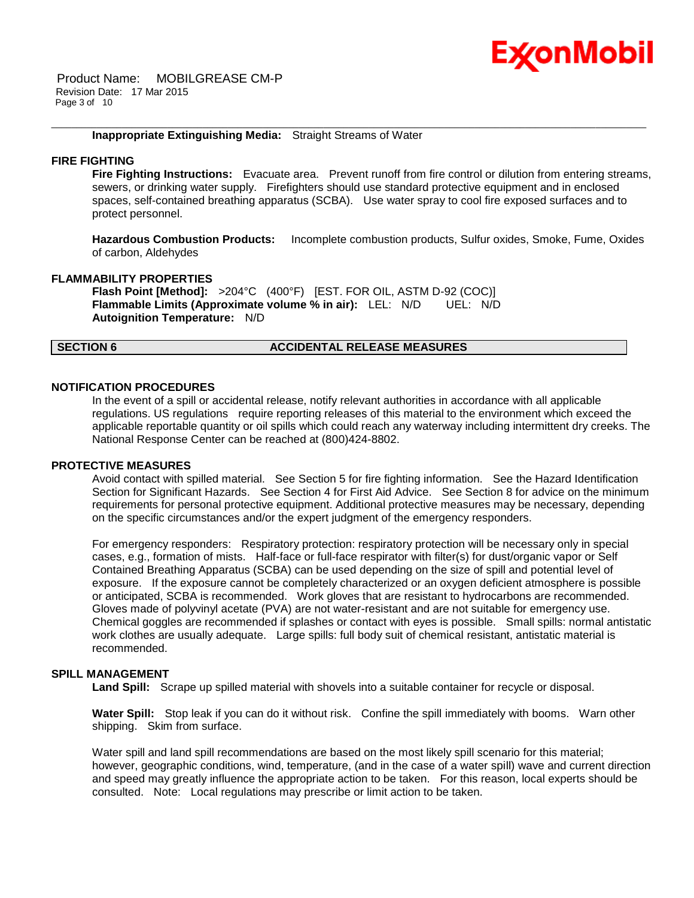# Ex⁄onMobil

Product Name: MOBILGREASE CM-P Revision Date: 17 Mar 2015 Page 3 of 10

#### **Inappropriate Extinguishing Media:** Straight Streams of Water

#### **FIRE FIGHTING**

**Fire Fighting Instructions:** Evacuate area. Prevent runoff from fire control or dilution from entering streams, sewers, or drinking water supply. Firefighters should use standard protective equipment and in enclosed spaces, self-contained breathing apparatus (SCBA). Use water spray to cool fire exposed surfaces and to protect personnel.

\_\_\_\_\_\_\_\_\_\_\_\_\_\_\_\_\_\_\_\_\_\_\_\_\_\_\_\_\_\_\_\_\_\_\_\_\_\_\_\_\_\_\_\_\_\_\_\_\_\_\_\_\_\_\_\_\_\_\_\_\_\_\_\_\_\_\_\_\_\_\_\_\_\_\_\_\_\_\_\_\_\_\_\_\_\_\_\_\_\_\_\_\_\_\_\_\_\_\_\_\_\_\_\_\_\_\_\_\_\_\_\_\_\_\_\_\_\_

**Hazardous Combustion Products:** Incomplete combustion products, Sulfur oxides, Smoke, Fume, Oxides of carbon, Aldehydes

#### **FLAMMABILITY PROPERTIES**

**Flash Point [Method]:** >204°C (400°F) [EST. FOR OIL, ASTM D-92 (COC)] **Flammable Limits (Approximate volume % in air):** LEL: N/D UEL: N/D **Autoignition Temperature:** N/D

#### **SECTION 6 ACCIDENTAL RELEASE MEASURES**

#### **NOTIFICATION PROCEDURES**

In the event of a spill or accidental release, notify relevant authorities in accordance with all applicable regulations. US regulations require reporting releases of this material to the environment which exceed the applicable reportable quantity or oil spills which could reach any waterway including intermittent dry creeks. The National Response Center can be reached at (800)424-8802.

#### **PROTECTIVE MEASURES**

Avoid contact with spilled material. See Section 5 for fire fighting information. See the Hazard Identification Section for Significant Hazards. See Section 4 for First Aid Advice. See Section 8 for advice on the minimum requirements for personal protective equipment. Additional protective measures may be necessary, depending on the specific circumstances and/or the expert judgment of the emergency responders.

For emergency responders: Respiratory protection: respiratory protection will be necessary only in special cases, e.g., formation of mists. Half-face or full-face respirator with filter(s) for dust/organic vapor or Self Contained Breathing Apparatus (SCBA) can be used depending on the size of spill and potential level of exposure. If the exposure cannot be completely characterized or an oxygen deficient atmosphere is possible or anticipated, SCBA is recommended. Work gloves that are resistant to hydrocarbons are recommended. Gloves made of polyvinyl acetate (PVA) are not water-resistant and are not suitable for emergency use. Chemical goggles are recommended if splashes or contact with eyes is possible. Small spills: normal antistatic work clothes are usually adequate. Large spills: full body suit of chemical resistant, antistatic material is recommended.

#### **SPILL MANAGEMENT**

**Land Spill:** Scrape up spilled material with shovels into a suitable container for recycle or disposal.

**Water Spill:** Stop leak if you can do it without risk. Confine the spill immediately with booms. Warn other shipping. Skim from surface.

Water spill and land spill recommendations are based on the most likely spill scenario for this material; however, geographic conditions, wind, temperature, (and in the case of a water spill) wave and current direction and speed may greatly influence the appropriate action to be taken. For this reason, local experts should be consulted. Note: Local regulations may prescribe or limit action to be taken.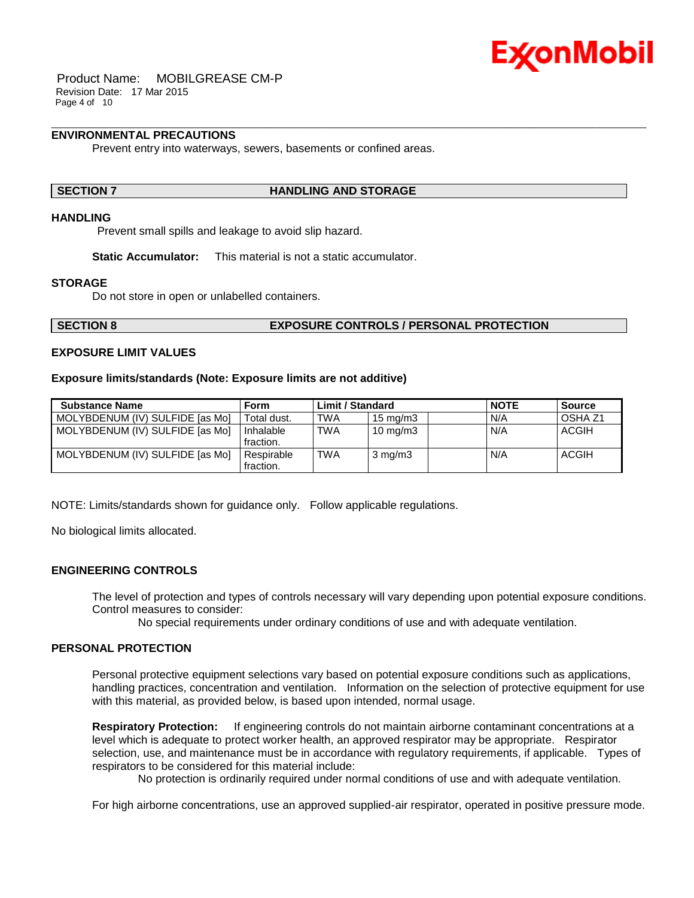

Product Name: MOBILGREASE CM-P Revision Date: 17 Mar 2015 Page 4 of 10

### **ENVIRONMENTAL PRECAUTIONS**

Prevent entry into waterways, sewers, basements or confined areas.

#### **SECTION 7 HANDLING AND STORAGE**

### **HANDLING**

Prevent small spills and leakage to avoid slip hazard.

**Static Accumulator:** This material is not a static accumulator.

#### **STORAGE**

Do not store in open or unlabelled containers.

#### **SECTION 8 EXPOSURE CONTROLS / PERSONAL PROTECTION**

#### **EXPOSURE LIMIT VALUES**

#### **Exposure limits/standards (Note: Exposure limits are not additive)**

| <b>Substance Name</b>           | Form                    | <b>Limit / Standard</b> |                   | <b>NOTE</b> | <b>Source</b>      |
|---------------------------------|-------------------------|-------------------------|-------------------|-------------|--------------------|
| MOLYBDENUM (IV) SULFIDE [as Mo] | Total dust.             | <b>TWA</b>              | $15 \text{ mg/m}$ | N/A         | OSHA <sub>Z1</sub> |
| MOLYBDENUM (IV) SULFIDE [as Mo] | Inhalable<br>fraction.  | TWA                     | $10 \text{ mg/m}$ | N/A         | ACGIH              |
| MOLYBDENUM (IV) SULFIDE [as Mo] | Respirable<br>fraction. | <b>TWA</b>              | $3 \text{ mg/m}$  | N/A         | <b>ACGIH</b>       |

\_\_\_\_\_\_\_\_\_\_\_\_\_\_\_\_\_\_\_\_\_\_\_\_\_\_\_\_\_\_\_\_\_\_\_\_\_\_\_\_\_\_\_\_\_\_\_\_\_\_\_\_\_\_\_\_\_\_\_\_\_\_\_\_\_\_\_\_\_\_\_\_\_\_\_\_\_\_\_\_\_\_\_\_\_\_\_\_\_\_\_\_\_\_\_\_\_\_\_\_\_\_\_\_\_\_\_\_\_\_\_\_\_\_\_\_\_\_

NOTE: Limits/standards shown for guidance only. Follow applicable regulations.

No biological limits allocated.

#### **ENGINEERING CONTROLS**

The level of protection and types of controls necessary will vary depending upon potential exposure conditions. Control measures to consider:

No special requirements under ordinary conditions of use and with adequate ventilation.

#### **PERSONAL PROTECTION**

Personal protective equipment selections vary based on potential exposure conditions such as applications, handling practices, concentration and ventilation. Information on the selection of protective equipment for use with this material, as provided below, is based upon intended, normal usage.

**Respiratory Protection:** If engineering controls do not maintain airborne contaminant concentrations at a level which is adequate to protect worker health, an approved respirator may be appropriate. Respirator selection, use, and maintenance must be in accordance with regulatory requirements, if applicable. Types of respirators to be considered for this material include:

No protection is ordinarily required under normal conditions of use and with adequate ventilation.

For high airborne concentrations, use an approved supplied-air respirator, operated in positive pressure mode.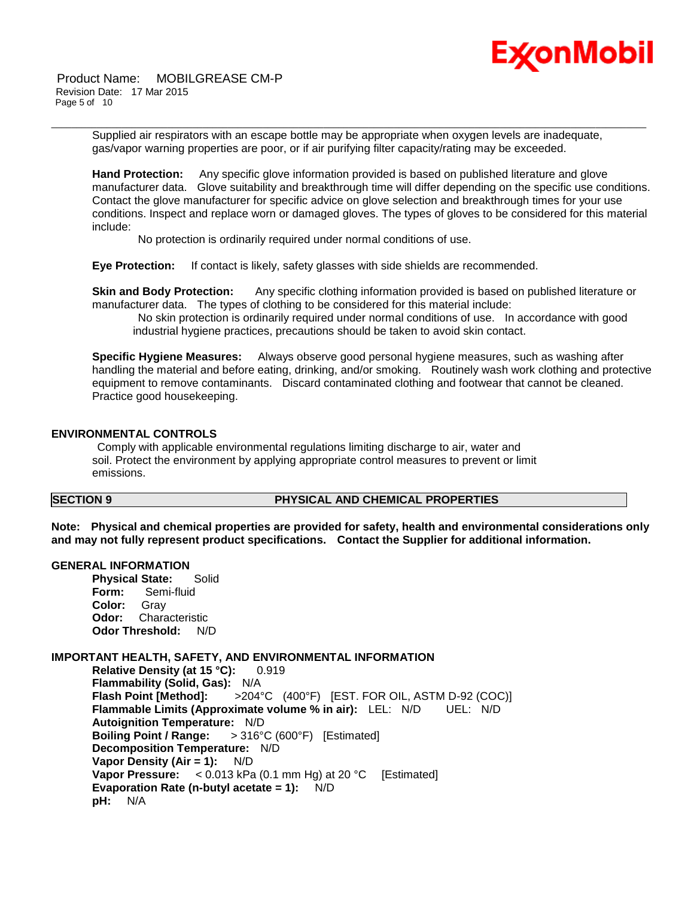

Product Name: MOBILGREASE CM-P Revision Date: 17 Mar 2015 Page 5 of 10

\_\_\_\_\_\_\_\_\_\_\_\_\_\_\_\_\_\_\_\_\_\_\_\_\_\_\_\_\_\_\_\_\_\_\_\_\_\_\_\_\_\_\_\_\_\_\_\_\_\_\_\_\_\_\_\_\_\_\_\_\_\_\_\_\_\_\_\_\_\_\_\_\_\_\_\_\_\_\_\_\_\_\_\_\_\_\_\_\_\_\_\_\_\_\_\_\_\_\_\_\_\_\_\_\_\_\_\_\_\_\_\_\_\_\_\_\_\_ Supplied air respirators with an escape bottle may be appropriate when oxygen levels are inadequate, gas/vapor warning properties are poor, or if air purifying filter capacity/rating may be exceeded.

**Hand Protection:** Any specific glove information provided is based on published literature and glove manufacturer data. Glove suitability and breakthrough time will differ depending on the specific use conditions. Contact the glove manufacturer for specific advice on glove selection and breakthrough times for your use conditions. Inspect and replace worn or damaged gloves. The types of gloves to be considered for this material include:

No protection is ordinarily required under normal conditions of use.

**Eye Protection:** If contact is likely, safety glasses with side shields are recommended.

**Skin and Body Protection:** Any specific clothing information provided is based on published literature or manufacturer data. The types of clothing to be considered for this material include:

No skin protection is ordinarily required under normal conditions of use. In accordance with good industrial hygiene practices, precautions should be taken to avoid skin contact.

**Specific Hygiene Measures:** Always observe good personal hygiene measures, such as washing after handling the material and before eating, drinking, and/or smoking. Routinely wash work clothing and protective equipment to remove contaminants. Discard contaminated clothing and footwear that cannot be cleaned. Practice good housekeeping.

#### **ENVIRONMENTAL CONTROLS**

Comply with applicable environmental regulations limiting discharge to air, water and soil. Protect the environment by applying appropriate control measures to prevent or limit emissions.

### **SECTION 9 PHYSICAL AND CHEMICAL PROPERTIES**

**Note: Physical and chemical properties are provided for safety, health and environmental considerations only and may not fully represent product specifications. Contact the Supplier for additional information.**

#### **GENERAL INFORMATION**

**Physical State:** Solid **Form:** Semi-fluid **Color:** Gray **Odor:** Characteristic **Odor Threshold:** N/D

#### **IMPORTANT HEALTH, SAFETY, AND ENVIRONMENTAL INFORMATION**

**Relative Density (at 15 °C):** 0.919 **Flammability (Solid, Gas):** N/A **Flash Point [Method]:** >204°C (400°F) [EST. FOR OIL, ASTM D-92 (COC)] **Flammable Limits (Approximate volume % in air):** LEL: N/D UEL: N/D **Autoignition Temperature:** N/D **Boiling Point / Range:** > 316°C (600°F) [Estimated] **Decomposition Temperature:** N/D **Vapor Density (Air = 1):** N/D **Vapor Pressure:** < 0.013 kPa (0.1 mm Hg) at 20 °C [Estimated] **Evaporation Rate (n-butyl acetate = 1):** N/D **pH:** N/A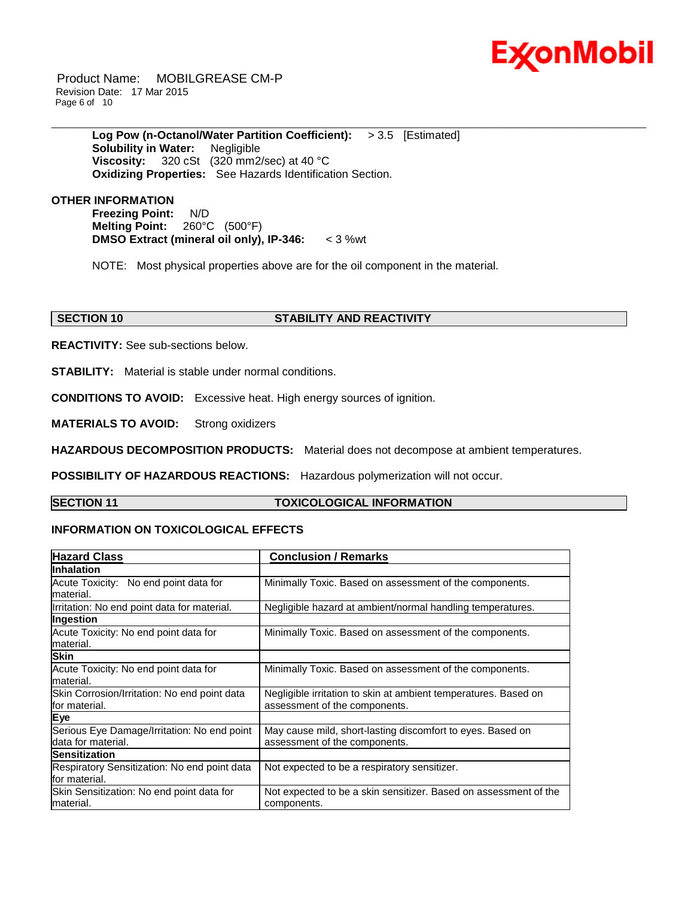

Product Name: MOBILGREASE CM-P Revision Date: 17 Mar 2015 Page 6 of 10

> **Log Pow (n-Octanol/Water Partition Coefficient):** > 3.5 [Estimated] **Solubility in Water:** Negligible **Viscosity:** 320 cSt (320 mm2/sec) at 40 °C **Oxidizing Properties:** See Hazards Identification Section.

### **OTHER INFORMATION**

**Freezing Point:** N/D **Melting Point:** 260°C (500°F) **DMSO Extract (mineral oil only), IP-346:** < 3 %wt

NOTE: Most physical properties above are for the oil component in the material.

\_\_\_\_\_\_\_\_\_\_\_\_\_\_\_\_\_\_\_\_\_\_\_\_\_\_\_\_\_\_\_\_\_\_\_\_\_\_\_\_\_\_\_\_\_\_\_\_\_\_\_\_\_\_\_\_\_\_\_\_\_\_\_\_\_\_\_\_\_\_\_\_\_\_\_\_\_\_\_\_\_\_\_\_\_\_\_\_\_\_\_\_\_\_\_\_\_\_\_\_\_\_\_\_\_\_\_\_\_\_\_\_\_\_\_\_\_\_

### **SECTION 10 STABILITY AND REACTIVITY**

**REACTIVITY:** See sub-sections below.

**STABILITY:** Material is stable under normal conditions.

**CONDITIONS TO AVOID:** Excessive heat. High energy sources of ignition.

**MATERIALS TO AVOID:** Strong oxidizers

**HAZARDOUS DECOMPOSITION PRODUCTS:** Material does not decompose at ambient temperatures.

**POSSIBILITY OF HAZARDOUS REACTIONS:** Hazardous polymerization will not occur.

#### **SECTION 11 TOXICOLOGICAL INFORMATION**

### **INFORMATION ON TOXICOLOGICAL EFFECTS**

| <b>Hazard Class</b>                          | <b>Conclusion / Remarks</b>                                      |
|----------------------------------------------|------------------------------------------------------------------|
| <b>Inhalation</b>                            |                                                                  |
| Acute Toxicity: No end point data for        | Minimally Toxic. Based on assessment of the components.          |
| material.                                    |                                                                  |
| Irritation: No end point data for material.  | Negligible hazard at ambient/normal handling temperatures.       |
| Ingestion                                    |                                                                  |
| Acute Toxicity: No end point data for        | Minimally Toxic. Based on assessment of the components.          |
| material.                                    |                                                                  |
| <b>Skin</b>                                  |                                                                  |
| Acute Toxicity: No end point data for        | Minimally Toxic. Based on assessment of the components.          |
| material.                                    |                                                                  |
| Skin Corrosion/Irritation: No end point data | Negligible irritation to skin at ambient temperatures. Based on  |
| for material.                                | assessment of the components.                                    |
| Eye                                          |                                                                  |
| Serious Eye Damage/Irritation: No end point  | May cause mild, short-lasting discomfort to eyes. Based on       |
| data for material.                           | assessment of the components.                                    |
| <b>Sensitization</b>                         |                                                                  |
| Respiratory Sensitization: No end point data | Not expected to be a respiratory sensitizer.                     |
| lfor material.                               |                                                                  |
| Skin Sensitization: No end point data for    | Not expected to be a skin sensitizer. Based on assessment of the |
| lmaterial.                                   | components.                                                      |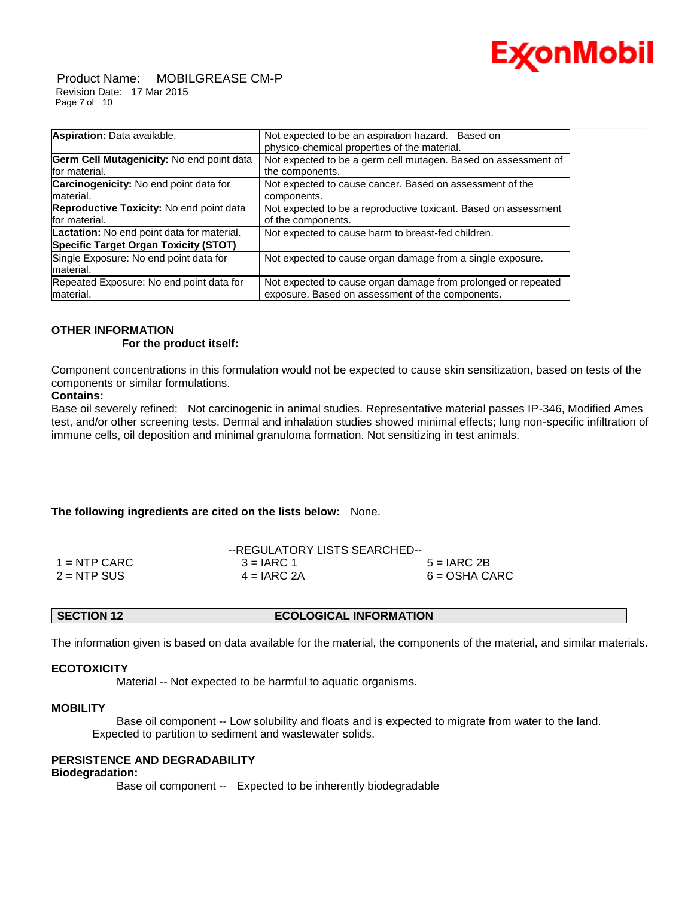

Product Name: MOBILGREASE CM-P Revision Date: 17 Mar 2015 Page 7 of 10

| Aspiration: Data available.                       | Not expected to be an aspiration hazard. Based on               |
|---------------------------------------------------|-----------------------------------------------------------------|
|                                                   | physico-chemical properties of the material.                    |
| Germ Cell Mutagenicity: No end point data         | Not expected to be a germ cell mutagen. Based on assessment of  |
| for material.                                     | the components.                                                 |
| Carcinogenicity: No end point data for            | Not expected to cause cancer. Based on assessment of the        |
| material.                                         | components.                                                     |
| Reproductive Toxicity: No end point data          | Not expected to be a reproductive toxicant. Based on assessment |
| for material.                                     | of the components.                                              |
| <b>Lactation:</b> No end point data for material. | Not expected to cause harm to breast-fed children.              |
| <b>Specific Target Organ Toxicity (STOT)</b>      |                                                                 |
| Single Exposure: No end point data for            | Not expected to cause organ damage from a single exposure.      |
| material.                                         |                                                                 |
| Repeated Exposure: No end point data for          | Not expected to cause organ damage from prolonged or repeated   |
| material.                                         | exposure. Based on assessment of the components.                |

#### **OTHER INFORMATION For the product itself:**

Component concentrations in this formulation would not be expected to cause skin sensitization, based on tests of the components or similar formulations.

#### **Contains:**

Base oil severely refined: Not carcinogenic in animal studies. Representative material passes IP-346, Modified Ames test, and/or other screening tests. Dermal and inhalation studies showed minimal effects; lung non-specific infiltration of immune cells, oil deposition and minimal granuloma formation. Not sensitizing in test animals.

#### **The following ingredients are cited on the lists below:** None.

|                | --REGULATORY LISTS SEARCHED-- |                 |
|----------------|-------------------------------|-----------------|
| $1 =$ NTP CARC | $3 = IARC 1$                  | $5 = IARC2B$    |
| $2 = NTP$ SUS  | $4 = IARC 2A$                 | $6 = OSHA CARC$ |

#### **SECTION 12 ECOLOGICAL INFORMATION**

The information given is based on data available for the material, the components of the material, and similar materials.

#### **ECOTOXICITY**

Material -- Not expected to be harmful to aquatic organisms.

#### **MOBILITY**

 Base oil component -- Low solubility and floats and is expected to migrate from water to the land. Expected to partition to sediment and wastewater solids.

#### **PERSISTENCE AND DEGRADABILITY**

#### **Biodegradation:**

Base oil component -- Expected to be inherently biodegradable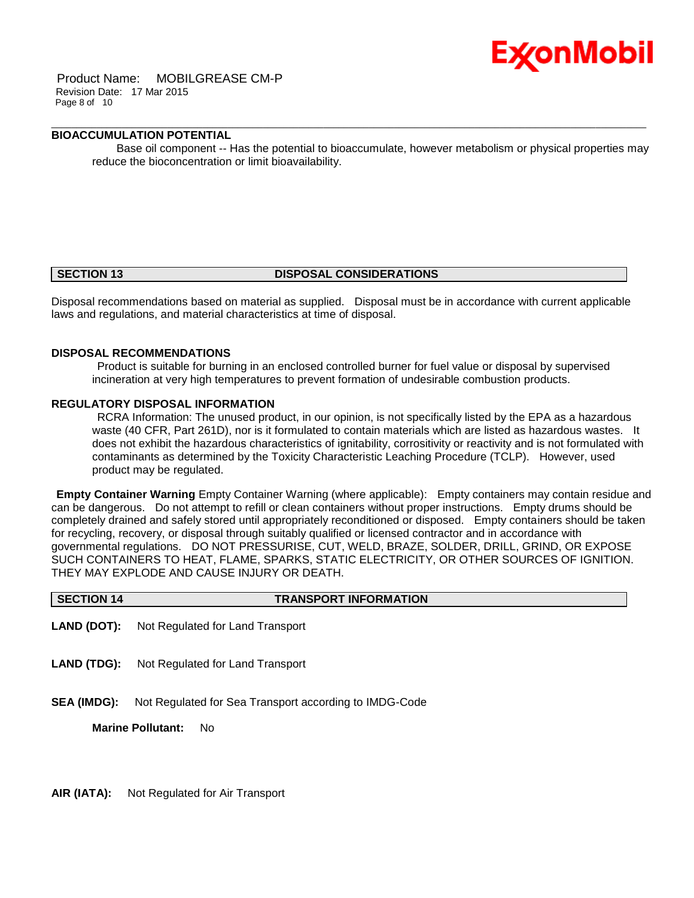

Product Name: MOBILGREASE CM-P Revision Date: 17 Mar 2015 Page 8 of 10

### **BIOACCUMULATION POTENTIAL**

 Base oil component -- Has the potential to bioaccumulate, however metabolism or physical properties may reduce the bioconcentration or limit bioavailability.

\_\_\_\_\_\_\_\_\_\_\_\_\_\_\_\_\_\_\_\_\_\_\_\_\_\_\_\_\_\_\_\_\_\_\_\_\_\_\_\_\_\_\_\_\_\_\_\_\_\_\_\_\_\_\_\_\_\_\_\_\_\_\_\_\_\_\_\_\_\_\_\_\_\_\_\_\_\_\_\_\_\_\_\_\_\_\_\_\_\_\_\_\_\_\_\_\_\_\_\_\_\_\_\_\_\_\_\_\_\_\_\_\_\_\_\_\_\_

#### **SECTION 13 DISPOSAL CONSIDERATIONS**

Disposal recommendations based on material as supplied. Disposal must be in accordance with current applicable laws and regulations, and material characteristics at time of disposal.

#### **DISPOSAL RECOMMENDATIONS**

Product is suitable for burning in an enclosed controlled burner for fuel value or disposal by supervised incineration at very high temperatures to prevent formation of undesirable combustion products.

#### **REGULATORY DISPOSAL INFORMATION**

RCRA Information: The unused product, in our opinion, is not specifically listed by the EPA as a hazardous waste (40 CFR, Part 261D), nor is it formulated to contain materials which are listed as hazardous wastes. It does not exhibit the hazardous characteristics of ignitability, corrositivity or reactivity and is not formulated with contaminants as determined by the Toxicity Characteristic Leaching Procedure (TCLP). However, used product may be regulated.

**Empty Container Warning** Empty Container Warning (where applicable): Empty containers may contain residue and can be dangerous. Do not attempt to refill or clean containers without proper instructions. Empty drums should be completely drained and safely stored until appropriately reconditioned or disposed. Empty containers should be taken for recycling, recovery, or disposal through suitably qualified or licensed contractor and in accordance with governmental regulations. DO NOT PRESSURISE, CUT, WELD, BRAZE, SOLDER, DRILL, GRIND, OR EXPOSE SUCH CONTAINERS TO HEAT, FLAME, SPARKS, STATIC ELECTRICITY, OR OTHER SOURCES OF IGNITION. THEY MAY EXPLODE AND CAUSE INJURY OR DEATH.

| <b>TRANSPORT INFORMATION</b><br>SECTION 14 |
|--------------------------------------------|
|--------------------------------------------|

- **LAND (DOT):** Not Regulated for Land Transport
- **LAND (TDG):** Not Regulated for Land Transport
- **SEA (IMDG):** Not Regulated for Sea Transport according to IMDG-Code

**Marine Pollutant:** No

**AIR (IATA):** Not Regulated for Air Transport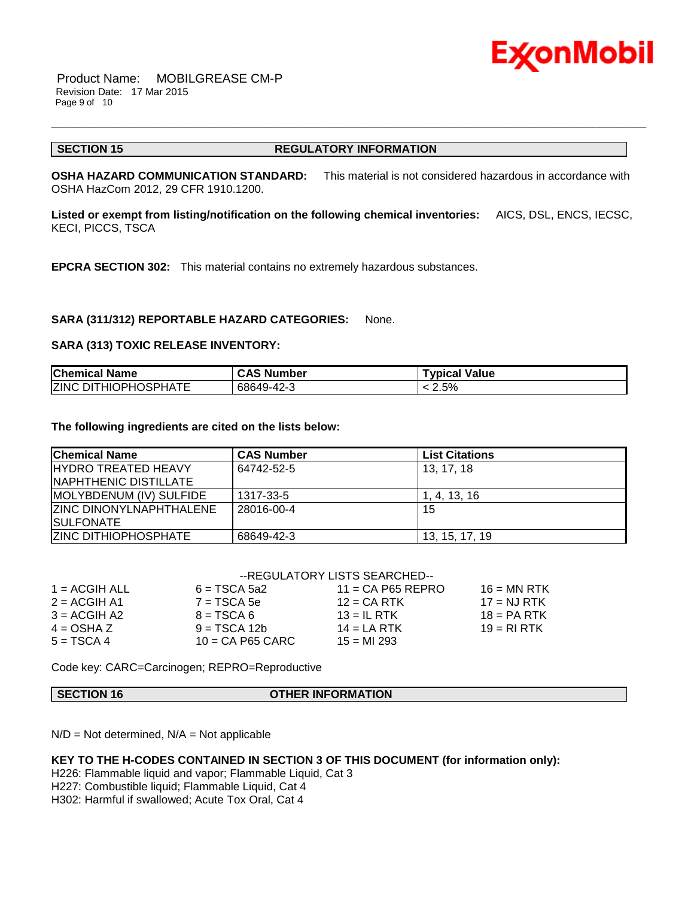

Product Name: MOBILGREASE CM-P Revision Date: 17 Mar 2015 Page 9 of 10

#### **SECTION 15 REGULATORY INFORMATION**

\_\_\_\_\_\_\_\_\_\_\_\_\_\_\_\_\_\_\_\_\_\_\_\_\_\_\_\_\_\_\_\_\_\_\_\_\_\_\_\_\_\_\_\_\_\_\_\_\_\_\_\_\_\_\_\_\_\_\_\_\_\_\_\_\_\_\_\_\_\_\_\_\_\_\_\_\_\_\_\_\_\_\_\_\_\_\_\_\_\_\_\_\_\_\_\_\_\_\_\_\_\_\_\_\_\_\_\_\_\_\_\_\_\_\_\_\_\_

**OSHA HAZARD COMMUNICATION STANDARD:** This material is not considered hazardous in accordance with OSHA HazCom 2012, 29 CFR 1910.1200.

**Listed or exempt from listing/notification on the following chemical inventories:** AICS, DSL, ENCS, IECSC, KECI, PICCS, TSCA

**EPCRA SECTION 302:** This material contains no extremely hazardous substances.

#### **SARA (311/312) REPORTABLE HAZARD CATEGORIES:** None.

#### **SARA (313) TOXIC RELEASE INVENTORY:**

| <b>Chemical Name</b>        | <b>CAS Number</b> | Typical Value |
|-----------------------------|-------------------|---------------|
| <b>ZINC DITHIOPHOSPHATE</b> | 68649-42-3        | 2.5%          |

#### **The following ingredients are cited on the lists below:**

| <b>Chemical Name</b>           | <b>CAS Number</b> | <b>List Citations</b> |
|--------------------------------|-------------------|-----------------------|
| <b>IHYDRO TREATED HEAVY</b>    | 64742-52-5        | 13.17.18              |
| NAPHTHENIC DISTILLATE          |                   |                       |
| MOLYBDENUM (IV) SULFIDE        | 1317-33-5         | 1. 4. 13. 16          |
| <b>ZINC DINONYLNAPHTHALENE</b> | 28016-00-4        | 15                    |
| <b>ISULFONATE</b>              |                   |                       |
| <b>ZINC DITHIOPHOSPHATE</b>    | 68649-42-3        | 13, 15, 17, 19        |

#### --REGULATORY LISTS SEARCHED--

| $1 = ACGIH ALL$ | $6 = TSCA 5a2$     | $11 = CA$ P65 REPRO | $16 = MN$ RTK |
|-----------------|--------------------|---------------------|---------------|
| $2 = ACGIH A1$  | $7 = TSCA$ 5e      | $12$ = CA RTK       | $17 = NJ RTK$ |
| $3 = ACGIH A2$  | $8 = TSCA6$        | $13 = IL$ RTK       | $18 = PA RTK$ |
| $4 = OSHA Z$    | $9 = TSCA 12b$     | $14 = LA RTK$       | $19 = R1 RTK$ |
| $5 = TSCA4$     | $10 = CA$ P65 CARC | $15 = M1 293$       |               |
|                 |                    |                     |               |

Code key: CARC=Carcinogen; REPRO=Reproductive

#### **SECTION 16 OTHER INFORMATION**

 $N/D = Not determined$ ,  $N/A = Not$  applicable

#### **KEY TO THE H-CODES CONTAINED IN SECTION 3 OF THIS DOCUMENT (for information only):**

H226: Flammable liquid and vapor; Flammable Liquid, Cat 3

H227: Combustible liquid; Flammable Liquid, Cat 4

H302: Harmful if swallowed; Acute Tox Oral, Cat 4